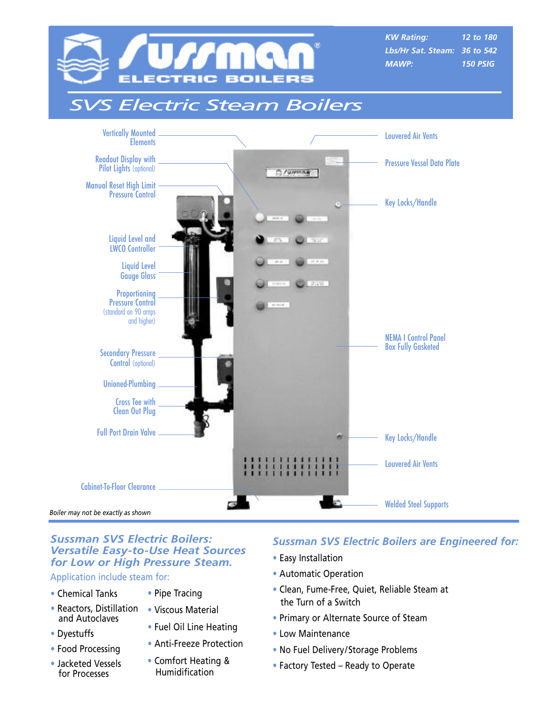

*KW Rating: 12 to 180 Lbs/Hr Sat. Steam: 36 to 542 MAWP: 150 PSIG*

# *SVS Electric Steam Boilers*



## *Boiler may not be exactly as shown*

#### *Sussman SVS Electric Boilers: Versatile Easy-to-Use Heat Sources for Low or High Pressure Steam.*

Application include steam for:

- Chemical Tanks
- Reactors, Distillation and Autoclaves
- Dyestuffs
- Food Processing
- Jacketed Vessels for Processes
- Pipe Tracing
- Viscous Material
- Fuel Oil Line Heating
- Anti-Freeze Protection
- Comfort Heating & Humidification

#### *Sussman SVS Electric Boilers are Engineered for:*

- Easy Installation
- Automatic Operation
- Clean, Fume-Free, Quiet, Reliable Steam at the Turn of a Switch
- Primary or Alternate Source of Steam
- Low Maintenance
- No Fuel Delivery/Storage Problems
- Factory Tested Ready to Operate